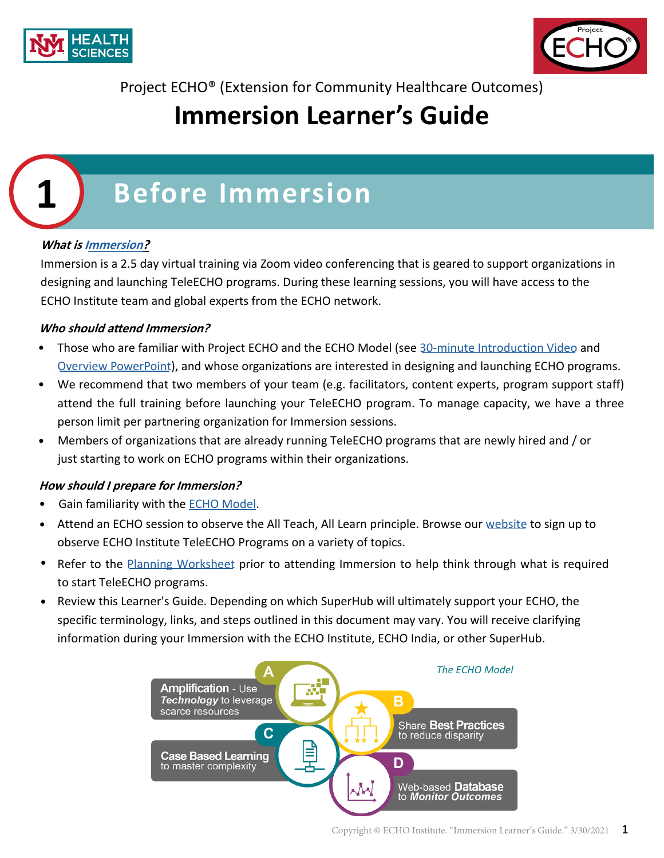



Project ECHO® (Extension for Community Healthcare Outcomes)

## **Immersion Learner's Guide**

# **1 Before Immersion**

## **What is [Immersion](https://hsc.unm.edu/echo/get-involved/start-a-hub/immersion-training.html)?**

Immersion is a 2.5 day virtual training via Zoom video conferencing that is geared to support organizations in designing and launching TeleECHO programs. During these learning sessions, you will have access to the ECHO Institute team and global experts from the ECHO network.

#### **Who should attend Immersion?**

- Those who are familiar with Project ECHO and the ECHO Model (see [30-minute Introduction Video](https://www.youtube.com/watch?v=uzGfGg-dgAw&feature=youtu.be) and [Overview PowerPoint](https://app.box.com/s/xrml329rnz5bp8wn3xc01rozfq4iaax9)), and whose organizations are interested in designing and launching ECHO programs.
- We recommend that two members of your team (e.g. facilitators, content experts, program support staff) attend the full training before launching your TeleECHO program. To manage capacity, we have a three person limit per partnering organization for Immersion sessions.
- Members of organizations that are already running TeleECHO programs that are newly hired and / or just starting to work on ECHO programs within their organizations.

#### **How should I prepare for Immersion?**

- Gain familiarity with the **ECHO Model**.
- Attend an ECHO session to observe the All Teach, All Learn principle. Browse our [website](https://hsc.unm.edu/echo/institute-programs/) to sign up to observe ECHO Institute TeleECHO Programs on a variety of topics.
- Refer to the [Planning Worksheet](https://hsc.unm.edu/echo/_docs/program-docs/echo-planning-worksheet.pdf) prior to attending Immersion to help think through what is required to start TeleECHO programs.
- Review this Learner's Guide. Depending on which SuperHub will ultimately support your ECHO, the specific terminology, links, and steps outlined in this document may vary. You will receive clarifying information during your Immersion with the ECHO Institute, ECHO India, or other SuperHub. •

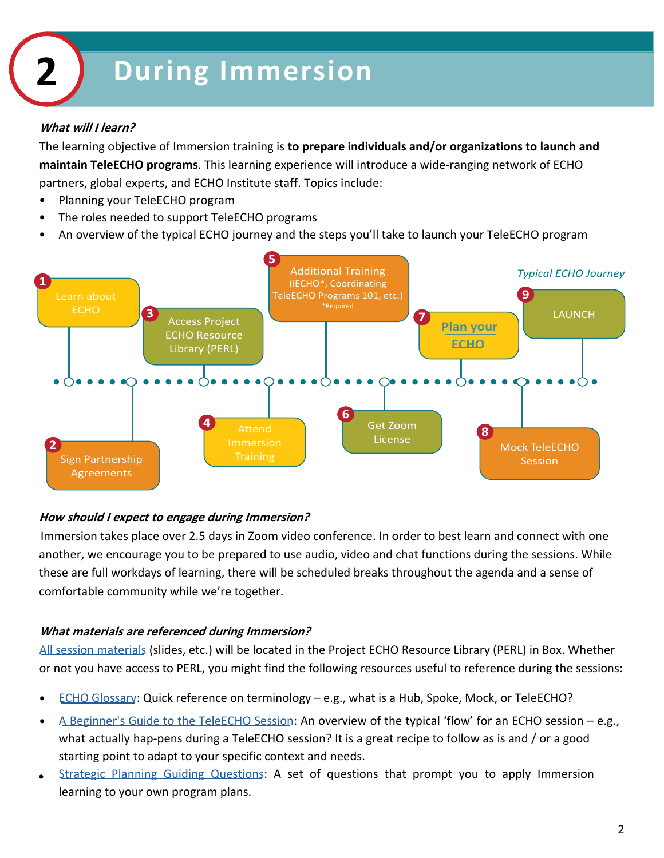#### **What will I learn?**

The learning objective of Immersion training is **to prepare individuals and/or organizations to launch and maintain TeleECHO programs**. This learning experience will introduce a wide-ranging network of ECHO partners, global experts, and ECHO Institute staff. Topics include:

- Planning your TeleECHO program
- The roles needed to support TeleECHO programs
- An overview of the typical ECHO journey and the steps you'll take to launch your TeleECHO program



#### **How should I expect to engage during Immersion?**

Immersion takes place over 2.5 days in Zoom video conference. In order to best learn and connect with one another, we encourage you to be prepared to use audio, video and chat functions during the sessions. While these are full workdays of learning, there will be scheduled breaks throughout the agenda and a sense of comfortable community while we're together.

#### **What materials are referenced during Immersion?**

[All session materials](https://app.box.com/folder/49114729866?s=v62lj923cmg6hj0f0imi3hyt83jhmp6m) (slides, etc.) will be located in the Project ECHO Resource Library (PERL) in Box. Whether or not you have access to PERL, you might find the following resources useful to reference during the sessions:

- [ECHO Glossary](https://hsc.unm.edu/echo/data-marketplace/lists/echo-glossary.html): Quick reference on terminology e.g., what is a Hub, Spoke, Mock, or TeleECHO?
- A [Beginner's Guide to the](https://app.box.com/s/we8awrxibgr3za1gqy5ujxewvj996lhj/file/665031233929) TeleECHO Session: An overview of the typical 'flow' for an ECHO session – e.g., what actually hap-pens during a TeleECHO session? It is a great recipe to follow as is and / or a good starting point to adapt to your specific context and needs.
- [Strategic Planning Guiding Questions](https://hsc.unm.edu/echo/_docs/get-involved/strategic-planning.pdf): A set of questions that prompt you to apply Immersion learning to your own program plans. •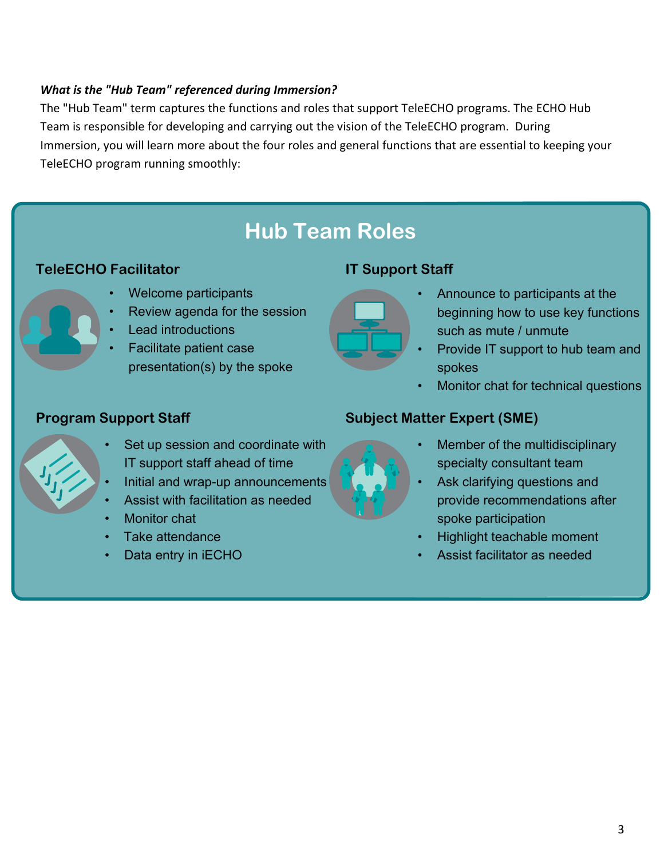## *What is the "Hub Team" referenced during Immersion?*

The "Hub Team" term captures the functions and roles that support TeleECHO programs. The ECHO Hub Team is responsible for developing and carrying out the vision of the TeleECHO program. During Immersion, you will learn more about the four roles and general functions that are essential to keeping your TeleECHO program running smoothly:

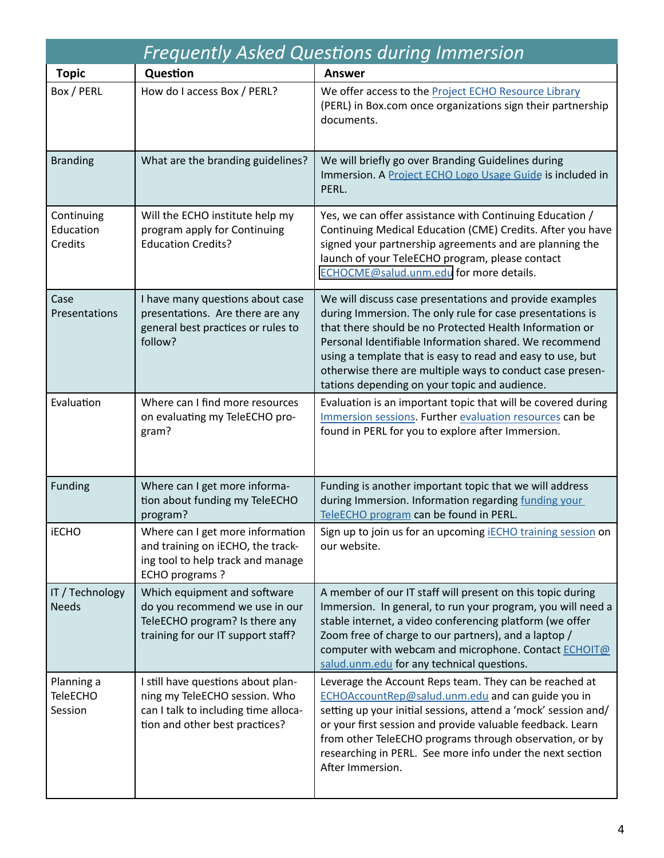| <b>Frequently Asked Questions during Immersion</b> |                                                                                                                                               |                                                                                                                                                                                                                                                                                                                                                                                                                       |  |  |  |  |  |  |
|----------------------------------------------------|-----------------------------------------------------------------------------------------------------------------------------------------------|-----------------------------------------------------------------------------------------------------------------------------------------------------------------------------------------------------------------------------------------------------------------------------------------------------------------------------------------------------------------------------------------------------------------------|--|--|--|--|--|--|
| <b>Topic</b>                                       | Question                                                                                                                                      | <b>Answer</b>                                                                                                                                                                                                                                                                                                                                                                                                         |  |  |  |  |  |  |
| Box / PERL                                         | How do I access Box / PERL?                                                                                                                   | We offer access to the Project ECHO Resource Library<br>(PERL) in Box.com once organizations sign their partnership<br>documents.                                                                                                                                                                                                                                                                                     |  |  |  |  |  |  |
| <b>Branding</b>                                    | What are the branding guidelines?                                                                                                             | We will briefly go over Branding Guidelines during<br>Immersion. A Project ECHO Logo Usage Guide is included in<br>PERL.                                                                                                                                                                                                                                                                                              |  |  |  |  |  |  |
| Continuing<br>Education<br>Credits                 | Will the ECHO institute help my<br>program apply for Continuing<br><b>Education Credits?</b>                                                  | Yes, we can offer assistance with Continuing Education /<br>Continuing Medical Education (CME) Credits. After you have<br>signed your partnership agreements and are planning the<br>launch of your TeleECHO program, please contact<br>ECHOCME@salud.unm.edu for more details.                                                                                                                                       |  |  |  |  |  |  |
| Case<br>Presentations                              | I have many questions about case<br>presentations. Are there are any<br>general best practices or rules to<br>follow?                         | We will discuss case presentations and provide examples<br>during Immersion. The only rule for case presentations is<br>that there should be no Protected Health Information or<br>Personal Identifiable Information shared. We recommend<br>using a template that is easy to read and easy to use, but<br>otherwise there are multiple ways to conduct case presen-<br>tations depending on your topic and audience. |  |  |  |  |  |  |
| Evaluation                                         | Where can I find more resources<br>on evaluating my TeleECHO pro-<br>gram?                                                                    | Evaluation is an important topic that will be covered during<br>Immersion sessions. Further evaluation resources can be<br>found in PERL for you to explore after Immersion.                                                                                                                                                                                                                                          |  |  |  |  |  |  |
| <b>Funding</b>                                     | Where can I get more informa-<br>tion about funding my TeleECHO<br>program?                                                                   | Funding is another important topic that we will address<br>during Immersion. Information regarding funding your<br>TeleECHO program can be found in PERL.                                                                                                                                                                                                                                                             |  |  |  |  |  |  |
| <b>iECHO</b>                                       | Where can I get more information<br>and training on iECHO, the track-<br>ing tool to help track and manage<br>ECHO programs?                  | Sign up to join us for an upcoming <b>IECHO</b> training session on<br>our website.                                                                                                                                                                                                                                                                                                                                   |  |  |  |  |  |  |
| IT / Technology<br><b>Needs</b>                    | Which equipment and software<br>do you recommend we use in our<br>TeleECHO program? Is there any<br>training for our IT support staff?        | A member of our IT staff will present on this topic during<br>Immersion. In general, to run your program, you will need a<br>stable internet, a video conferencing platform (we offer<br>Zoom free of charge to our partners), and a laptop /<br>computer with webcam and microphone. Contact ECHOIT@<br>salud.unm.edu for any technical questions.                                                                   |  |  |  |  |  |  |
| Planning a<br><b>TeleECHO</b><br>Session           | I still have questions about plan-<br>ning my TeleECHO session. Who<br>can I talk to including time alloca-<br>tion and other best practices? | Leverage the Account Reps team. They can be reached at<br>ECHOAccountRep@salud.unm.edu and can guide you in<br>setting up your initial sessions, attend a 'mock' session and/<br>or your first session and provide valuable feedback. Learn<br>from other TeleECHO programs through observation, or by<br>researching in PERL. See more info under the next section<br>After Immersion.                               |  |  |  |  |  |  |